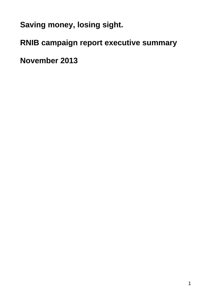**Saving money, losing sight.**

**RNIB campaign report executive summary**

**November 2013**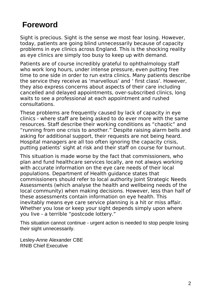# **Foreword**

Sight is precious. Sight is the sense we most fear losing. However, today, patients are going blind unnecessarily because of capacity problems in eye clinics across England. This is the shocking reality as eye clinics are simply too busy to keep up with demand.

Patients are of course incredibly grateful to ophthalmology staff who work long hours, under intense pressure, even putting free time to one side in order to run extra clinics. Many patients describe the service they receive as 'marvellous' and ' first class'. However, they also express concerns about aspects of their care including cancelled and delayed appointments, over-subscribed clinics, long waits to see a professional at each appointment and rushed consultations.

These problems are frequently caused by lack of capacity in eye clinics - where staff are being asked to do ever more with the same resources. Staff describe their working conditions as "chaotic" and "running from one crisis to another." Despite raising alarm bells and asking for additional support, their requests are not being heard. Hospital managers are all too often ignoring the capacity crisis, putting patients' sight at risk and their staff on course for burnout.

This situation is made worse by the fact that commissioners, who plan and fund healthcare services locally, are not always working with accurate information on the eye care needs of their local populations. Department of Health guidance states that commissioners should refer to local authority Joint Strategic Needs Assessments (which analyse the health and wellbeing needs of the local community) when making decisions. However, less than half of these assessments contain information on eye health. This inevitably means eye care service planning is a hit or miss affair. Whether you lose or keep your sight depends simply upon where you live - a terrible "postcode lottery."

This situation cannot continue - urgent action is needed to stop people losing their sight unnecessarily.

Lesley-Anne Alexander CBE RNIB Chief Executive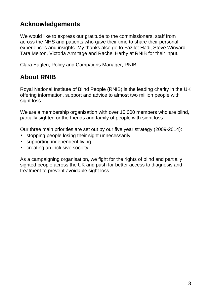# **Acknowledgements**

We would like to express our gratitude to the commissioners, staff from across the NHS and patients who gave their time to share their personal experiences and insights. My thanks also go to Fazilet Hadi, Steve Winyard, Tara Melton, Victoria Armitage and Rachel Harby at RNIB for their input.

Clara Eaglen, Policy and Campaigns Manager, RNIB

# **About RNIB**

Royal National Institute of Blind People (RNIB) is the leading charity in the UK offering information, support and advice to almost two million people with sight loss.

We are a membership organisation with over 10,000 members who are blind, partially sighted or the friends and family of people with sight loss.

Our three main priorities are set out by our five year strategy (2009-2014):

- stopping people losing their sight unnecessarily
- supporting independent living
- creating an inclusive society.

As a campaigning organisation, we fight for the rights of blind and partially sighted people across the UK and push for better access to diagnosis and treatment to prevent avoidable sight loss.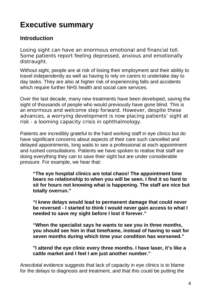# **Executive summary**

## **Introduction**

Losing sight can have an enormous emotional and financial toll. Some patients report feeling depressed, anxious and emotionally distraught.

Without sight, people are at risk of losing their employment and their ability to travel independently as well as having to rely on carers to undertake day to day tasks. They are also at higher risk of experiencing falls and accidents which require further NHS health and social care services.

Over the last decade, many new treatments have been developed, saving the sight of thousands of people who would previously have gone blind. This is an enormous and welcome step forward. However, despite these advances, a worrying development is now placing patients' sight at risk - a looming capacity crisis in ophthalmology.

Patients are incredibly grateful to the hard working staff in eye clinics but do have significant concerns about aspects of their care such cancelled and delayed appointments, long waits to see a professional at each appointment and rushed consultations. Patients we have spoken to realise that staff are doing everything they can to save their sight but are under considerable pressure. For example, we hear that:

**"The eye hospital clinics are total chaos! The appointment time bears no relationship to when you will be seen. I find it so hard to sit for hours not knowing what is happening. The staff are nice but totally overrun."**

**"I knew delays would lead to permanent damage that could never be reversed - I started to think I would never gain access to what I needed to save my sight before I lost it forever."**

**"When the specialist says he wants to see you in three months, you should see him in that timeframe, instead of having to wait for seven months during which time your condition has worsened."**

**"I attend the eye clinic every three months. I have laser, it's like a cattle market and I feel I am just another number."**

Anecdotal evidence suggests that lack of capacity in eye clinics is to blame for the delays to diagnosis and treatment, and that this could be putting the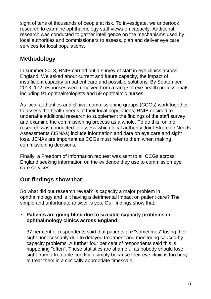sight of tens of thousands of people at risk. To investigate, we undertook research to examine ophthalmology staff views on capacity. Additional research was conducted to gather intelligence on the mechanisms used by local authorities and commissioners to assess, plan and deliver eye care services for local populations.

# **Methodology**

In summer 2013, RNIB carried out a survey of staff in eye clinics across England. We asked about current and future capacity, the impact of insufficient capacity on patient care and possible solutions. By September 2013, 172 responses were received from a range of eye health professionals including 91 ophthalmologists and 59 ophthalmic nurses.

As local authorities and clinical commissioning groups (CCGs) work together to assess the health needs of their local populations; RNIB decided to undertake additional research to supplement the findings of the staff survey and examine the commissioning process as a whole. To do this, online research was conducted to assess which local authority Joint Strategic Needs Assessments (JSNAs) include information and data on eye care and sight loss. JSNAs are important as CCGs must refer to them when making commissioning decisions.

Finally, a Freedom of Information request was sent to all CCGs across England seeking information on the evidence they use to commission eye care services.

# **Our findings show that:**

So what did our research reveal? Is capacity a major problem in ophthalmology and is it having a detrimental impact on patient care? The simple and unfortunate answer is yes. Our findings show that:

#### • **Patients are going blind due to sizeable capacity problems in ophthalmology clinics across England:**

37 per cent of respondents said that patients are "sometimes" losing their sight unnecessarily due to delayed treatment and monitoring caused by capacity problems. A further four per cent of respondents said this is happening "often". These statistics are shameful as nobody should lose sight from a treatable condition simply because their eye clinic is too busy to treat them in a clinically appropriate timescale.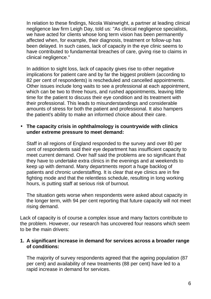In relation to these findings, Nicola Wainwright, a partner at leading clinical negligence law firm Leigh Day, told us: "As clinical negligence specialists, we have acted for clients whose long term vision has been permanently affected when, for example, their diagnosis, treatment or follow-up has been delayed. In such cases, lack of capacity in the eye clinic seems to have contributed to fundamental breaches of care, giving rise to claims in clinical negligence."

In addition to sight loss, lack of capacity gives rise to other negative implications for patient care and by far the biggest problem (according to 82 per cent of respondents) is rescheduled and cancelled appointments. Other issues include long waits to see a professional at each appointment, which can be two to three hours, and rushed appointments, leaving little time for the patient to discuss their eye condition and its treatment with their professional. This leads to misunderstandings and considerable amounts of stress for both the patient and professional. It also hampers the patient's ability to make an informed choice about their care.

#### • **The capacity crisis in ophthalmology is countrywide with clinics under extreme pressure to meet demand:**

Staff in all regions of England responded to the survey and over 80 per cent of respondents said their eye department has insufficient capacity to meet current demand. Over half said the problems are so significant that they have to undertake extra clinics in the evenings and at weekends to keep up with demand. Many departments report a huge backlog of patients and chronic understaffing. It is clear that eye clinics are in fire fighting mode and that the relentless schedule, resulting in long working hours, is putting staff at serious risk of burnout.

The situation gets worse when respondents were asked about capacity in the longer term, with 94 per cent reporting that future capacity will not meet rising demand.

Lack of capacity is of course a complex issue and many factors contribute to the problem. However, our research has uncovered four reasons which seem to be the main drivers:

#### **1. A significant increase in demand for services across a broader range of conditions:**

The majority of survey respondents agreed that the ageing population (87 per cent) and availability of new treatments (88 per cent) have led to a rapid increase in demand for services.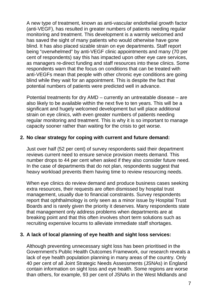A new type of treatment, known as anti-vascular endothelial growth factor (anti-VEGF), has resulted in greater numbers of patients needing regular monitoring and treatment. This development is a warmly welcomed and has saved the sight of many patients who would otherwise have gone blind. It has also placed sizable strain on eye departments. Staff report being "overwhelmed" by anti-VEGF clinic appointments and many (70 per cent of respondents) say this has impacted upon other eye care services, as managers re-direct funding and staff resources into these clinics. Some respondents warn that the focus on conditions that can be treated with anti-VEGFs mean that people with other chronic eye conditions are going blind while they wait for an appointment. This is despite the fact that potential numbers of patients were predicted well in advance.

Potential treatments for dry AMD – currently an untreatable disease – are also likely to be available within the next five to ten years. This will be a significant and hugely welcomed development but will place additional strain on eye clinics, with even greater numbers of patients needing regular monitoring and treatment. This is why it is so important to manage capacity sooner rather than waiting for the crisis to get worse.

#### **2. No clear strategy for coping with current and future demand:**

Just over half (52 per cent) of survey respondents said their department reviews current need to ensure service provision meets demand. This number drops to 44 per cent when asked if they also consider future need. In the case of departments that do not plan, respondents suggest that heavy workload prevents them having time to review resourcing needs.

When eye clinics do review demand and produce business cases seeking extra resources, their requests are often dismissed by hospital trust management, usually due to financial constraints. Survey respondents report that ophthalmology is only seen as a minor issue by Hospital Trust Boards and is rarely given the priority it deserves. Many respondents state that management only address problems when departments are at breaking point and that this often involves short term solutions such as recruiting expensive locums to alleviate immediate staff shortages.

#### **3. A lack of local planning of eye health and sight loss services:**

Although preventing unnecessary sight loss has been prioritised in the Government's Public Health Outcomes Framework, our research reveals a lack of eye health population planning in many areas of the country. Only 40 per cent of all Joint Strategic Needs Assessments (JSNAs) in England contain information on sight loss and eye health. Some regions are worse than others, for example, 93 per cent of JSNAs in the West Midlands and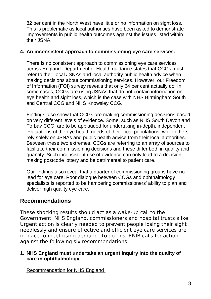82 per cent in the North West have little or no information on sight loss. This is problematic as local authorities have been asked to demonstrate improvements in public health outcomes against the issues listed within their JSNA.

#### **4. An inconsistent approach to commissioning eye care services:**

There is no consistent approach to commissioning eye care services across England. Department of Health guidance states that CCGs must refer to their local JSNAs and local authority public health advice when making decisions about commissioning services. However, our Freedom of Information (FOI) survey reveals that only 64 per cent actually do. In some cases, CCGs are using JSNAs that do not contain information on eye health and sight loss, which is the case with NHS Birmingham South and Central CCG and NHS Knowsley CCG.

Findings also show that CCGs are making commissioning decisions based on very different levels of evidence. Some, such as NHS South Devon and Torbay CCG, are to be applauded for undertaking in-depth, independent evaluations of the eye health needs of their local populations, while others rely solely on JSNAs and public health advice from their local authorities. Between these two extremes, CCGs are referring to an array of sources to facilitate their commissioning decisions and these differ both in quality and quantity. Such inconsistent use of evidence can only lead to a decision making postcode lottery and be detrimental to patient care.

Our findings also reveal that a quarter of commissioning groups have no lead for eye care. Poor dialogue between CCGs and ophthalmology specialists is reported to be hampering commissioners' ability to plan and deliver high quality eye care.

## **Recommendations**

These shocking results should act as a wake-up call to the Government, NHS England, commissioners and hospital trusts alike. Urgent action is clearly needed to prevent people losing their sight needlessly and ensure effective and efficient eye care services are in place to meet rising demand. To do this, RNIB calls for action against the following six recommendations:

#### 1. **NHS England must undertake an urgent inquiry into the quality of care in ophthalmology**

Recommendation for NHS England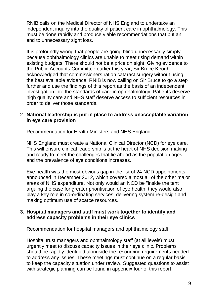RNIB calls on the Medical Director of NHS England to undertake an independent inquiry into the quality of patient care in ophthalmology. This must be done rapidly and produce viable recommendations that put an end to unnecessary sight loss.

It is profoundly wrong that people are going blind unnecessarily simply because ophthalmology clinics are unable to meet rising demand within existing budgets. There should not be a price on sight. Giving evidence to the Public Accounts Committee earlier this year, Sir Bruce Keogh acknowledged that commissioners ration cataract surgery without using the best available evidence. RNIB is now calling on Sir Bruce to go a step further and use the findings of this report as the basis of an independent investigation into the standards of care in ophthalmology. Patients deserve high quality care and NHS staff deserve access to sufficient resources in order to deliver those standards.

#### 2. **National leadership is put in place to address unacceptable variation in eye care provision**

#### Recommendation for Health Ministers and NHS England

NHS England must create a National Clinical Director (NCD) for eye care. This will ensure clinical leadership is at the heart of NHS decision making and ready to meet the challenges that lie ahead as the population ages and the prevalence of eye conditions increases.

Eye health was the most obvious gap in the list of 24 NCD appointments announced in December 2012, which covered almost all of the other major areas of NHS expenditure. Not only would an NCD be "inside the tent" arguing the case for greater prioritisation of eye health, they would also play a key role in co-ordinating services, delivering system re-design and making optimum use of scarce resources.

#### **3. Hospital managers and staff must work together to identify and address capacity problems in their eye clinics**

#### Recommendation for hospital managers and ophthalmology staff

Hospital trust managers and ophthalmology staff (at all levels) must urgently meet to discuss capacity issues in their eye clinic. Problems should be rapidly identified alongside the resourcing requirements needed to address any issues. These meetings must continue on a regular basis to keep the capacity situation under review. Suggested questions to assist with strategic planning can be found in appendix four of this report.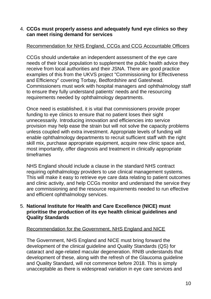#### 4. **CCGs must properly assess and adequately fund eye clinics so they can meet rising demand for services**

#### Recommendation for NHS England, CCGs and CCG Accountable Officers

CCGs should undertake an independent assessment of the eye care needs of their local population to supplement the public health advice they receive from local authorities and their JSNA. There are good practice examples of this from the UKVS project "Commissioning for Effectiveness and Efficiency" covering Torbay, Bedfordshire and Gateshead. Commissioners must work with hospital managers and ophthalmology staff to ensure they fully understand patients' needs and the resourcing requirements needed by ophthalmology departments.

Once need is established, it is vital that commissioners provide proper funding to eye clinics to ensure that no patient loses their sight unnecessarily. Introducing innovation and efficiencies into service provision may help ease the strain but will not solve the capacity problems unless coupled with extra investment. Appropriate levels of funding will enable ophthalmology departments to recruit sufficient staff with the right skill mix, purchase appropriate equipment, acquire new clinic space and, most importantly, offer diagnosis and treatment in clinically appropriate timeframes

NHS England should include a clause in the standard NHS contract requiring ophthalmology providers to use clinical management systems. This will make it easy to retrieve eye care data relating to patient outcomes and clinic activity, and help CCGs monitor and understand the service they are commissioning and the resource requirements needed to run effective and efficient ophthalmology services.

#### 5. **National Institute for Health and Care Excellence (NICE) must prioritise the production of its eye health clinical guidelines and Quality Standards**

#### Recommendation for the Government, NHS England and NICE

The Government, NHS England and NICE must bring forward the development of the clinical guideline and Quality Standards (QS) for cataract and age-related macular degeneration. RNIB understands that development of these, along with the refresh of the Glaucoma guideline and Quality Standard, will not commence before 2018. This is simply unacceptable as there is widespread variation in eye care services and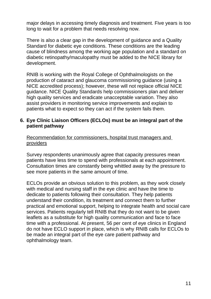major delays in accessing timely diagnosis and treatment. Five years is too long to wait for a problem that needs resolving now.

There is also a clear gap in the development of guidance and a Quality Standard for diabetic eye conditions. These conditions are the leading cause of blindness among the working age population and a standard on diabetic retinopathy/maculopathy must be added to the NICE library for development.

RNIB is working with the Royal College of Ophthalmologists on the production of cataract and glaucoma commissioning guidance (using a NICE accredited process); however, these will not replace official NICE guidance. NICE Quality Standards help commissioners plan and deliver high quality services and eradicate unacceptable variation. They also assist providers in monitoring service improvements and explain to patients what to expect so they can act if the system fails them.

#### **6. Eye Clinic Liaison Officers (ECLOs) must be an integral part of the patient pathway**

Recommendation for commissioners, hospital trust managers and providers

Survey respondents unanimously agree that capacity pressures mean patients have less time to spend with professionals at each appointment. Consultation times are constantly being whittled away by the pressure to see more patients in the same amount of time.

ECLOs provide an obvious solution to this problem, as they work closely with medical and nursing staff in the eye clinic and have the time to dedicate to patients following their consultation. They help patients understand their condition, its treatment and connect them to further practical and emotional support, helping to integrate health and social care services. Patients regularly tell RNIB that they do not want to be given leaflets as a substitute for high quality communication and face to face time with a professional. At present, 56 per cent of eye clinics in England do not have ECLO support in place, which is why RNIB calls for ECLOs to be made an integral part of the eye care patient pathway and ophthalmology team.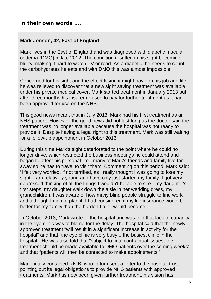### **In their own words ….**

#### **Mark Jonson, 42, East of England**

Mark lives in the East of England and was diagnosed with diabetic macular oedema (DMO) in late 2012. The condition resulted in his sight becoming blurry, making it hard to watch TV or read. As a diabetic, he needs to count the carbohydrates he eats and with DMO this was almost impossible.

Concerned for his sight and the effect losing it might have on his job and life, he was relieved to discover that a new sight saving treatment was available under his private medical cover. Mark started treatment in January 2013 but after three months his insurer refused to pay for further treatment as it had been approved for use on the NHS.

This good news meant that in July 2013, Mark had his first treatment as an NHS patient. However, the good news did not last long as the doctor said the treatment was no longer available because the hospital was not ready to provide it. Despite having a legal right to this treatment, Mark was still waiting for a follow-up appointment in October 2013.

During this time Mark's sight deteriorated to the point where he could no longer drive, which restricted the business meetings he could attend and began to affect his personal life - many of Mark's friends and family live far away so he has to travel to visit them. Commenting on this period, Mark said: "I felt very worried, if not terrified, as I really thought I was going to lose my sight. I am relatively young and have only just started my family. I got very depressed thinking of all the things I wouldn't be able to see - my daughter's first steps, my daughter walk down the aisle in her wedding dress, my grandchildren. I was aware of how many blind people struggle to find work and although I did not plan it, I had considered if my life insurance would be better for my family than the burden I felt I would become."

In October 2013, Mark wrote to the hospital and was told that lack of capacity in the eye clinic was to blame for the delay. The hospital said that the newly approved treatment "will result in a significant increase in activity for the hospital" and that "the eye clinic is very busy... the busiest clinic in the hospital." He was also told that "subject to final contractual issues, the treatment should be made available to DMO patients over the coming weeks" and that "patients will then be contacted to make appointments."

Mark finally contacted RNIB, who in turn sent a letter to the hospital trust pointing out its legal obligations to provide NHS patients with approved treatments. Mark has now been given further treatment, his vision has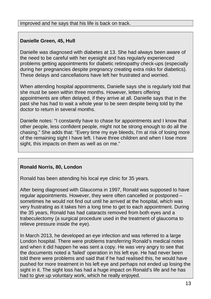## **Danielle Green, 45, Hull**

Danielle was diagnosed with diabetes at 13. She had always been aware of the need to be careful with her eyesight and has regularly experienced problems getting appointments for diabetic retinopathy check-ups (especially during her pregnancies despite pregnancy creating extra risks for diabetics). These delays and cancellations have left her frustrated and worried.

When attending hospital appointments, Danielle says she is regularly told that she must be seen within three months. However, letters offering appointments are often delayed, if they arrive at all. Danielle says that in the past she has had to wait a whole year to be seen despite being told by the doctor to return in several months.

Danielle notes: "I constantly have to chase for appointments and I know that other people, less confident people, might not be strong enough to do all the chasing." She adds that: "Every time my eye bleeds, I'm at risk of losing more of the remaining sight I have left. I have three children and when I lose more sight, this impacts on them as well as on me."

## **Ronald Norris, 80, London**

Ronald has been attending his local eye clinic for 35 years.

After being diagnosed with Glaucoma in 1997, Ronald was supposed to have regular appointments. However, they were often cancelled or postponed – sometimes he would not find out until he arrived at the hospital, which was very frustrating as it takes him a long time to get to each appointment. During the 35 years, Ronald has had cataracts removed from both eyes and a trabeculectomy (a surgical procedure used in the treatment of glaucoma to relieve pressure inside the eye).

In March 2013, he developed an eye infection and was referred to a large London hospital. There were problems transferring Ronald's medical notes and when it did happen he was sent a copy. He was very angry to see that the documents noted a 'failed' operation in his left eye. He had never been told there were problems and said that if he had realised this, he would have pushed for more treatment in his left eye and perhaps not ended up losing the sight in it. The sight loss has had a huge impact on Ronald's life and he has had to give up voluntary work, which he really enjoyed.